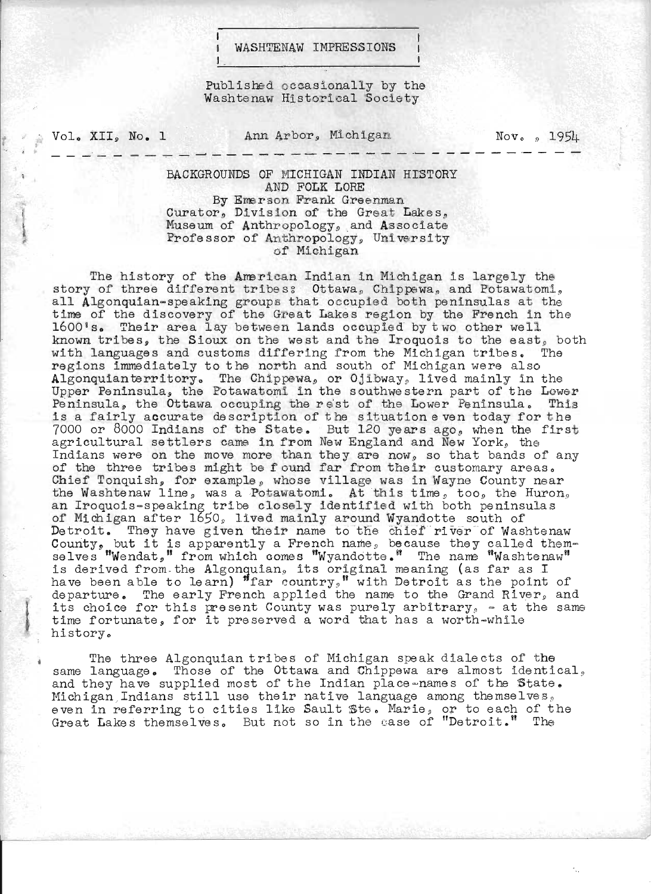## WASHTENAW IMPRESSIONS

Published occasionally by the Washtenaw Historical Society

Vol. XII, No. 1

Ann Arbor, Michigan

 $\text{Nov}_{\text{e}}$  ,  $195\text{L}$ 

BACKGROUNDS OF MICHIGAN INDIAN HISTORY AND FOLK LORE By Emerson Frank Greenman Curator, Division of the Great Lakes, Museum of Anthropology, and Associate Professor of Anthropology, University of Michigan

The history of the American Indian in Michigan is largely the story of three different tribes: Ottawa, Chippewa, and Potawatomi, all Algonquian-speaking groups that occupied both peninsulas at the time of the discovery of the Great Lakes region by the French in the 1600's. Their area lay between lands occupied by two other well known tribes, the Sioux on the west and the Iroquois to the east, both with languages and customs differing from the Michigan tribes. The regions immediately to the north and south of Michigan were also Algonquianterritory. The Chippewa, or Ojibway, lived mainly in the Upper Peninsula, the Potawatomi in the southwestern part of the Lower Peninsula, the Ottawa occuping the rest of the Lower Peninsula. This is a fairly accurate description of the situation even today for the 7000 or 8000 Indians of the State. But 120 years ago, when the first agricultural settlers came in from New England and New York, the Indians were on the move more than they are now, so that bands of any of the three tribes might be found far from their customary areas. Chief Tonquish, for example, whose village was in Wayne County near the Washtenaw line, was a Potawatomi. At this time, too, the Huron, an Iroquois-speaking tribe closely identified with both peninsulas of Michigan after 1650, lived mainly around Wyandotte south of Detroit. They have given their name to the chief river of Washtenaw County, but it is apparently a French name, because they called them-selves "Wendat," from which comes "Wyandotte." The name "Washtenaw" is derived from the Algonquian, its original meaning (as far as I have been able to learn) "far country," with Detroit as the point of departure. The early French applied the name to the Grand River, and its choice for this present County was purely arbitrary, - at the same<br>time fortunate, for it preserved a word that has a worth-while history.

The three Algonquian tribes of Michigan speak dialects of the same language. Those of the Ottawa and Chippewa are almost identical, and they have supplied most of the Indian place-names of the State. Michigan Indians still use their native language among themselves, even in referring to cities like Sault Ste. Marie, or to each of the<br>Great Lakes themselves. But not so in the case of "Detroit." The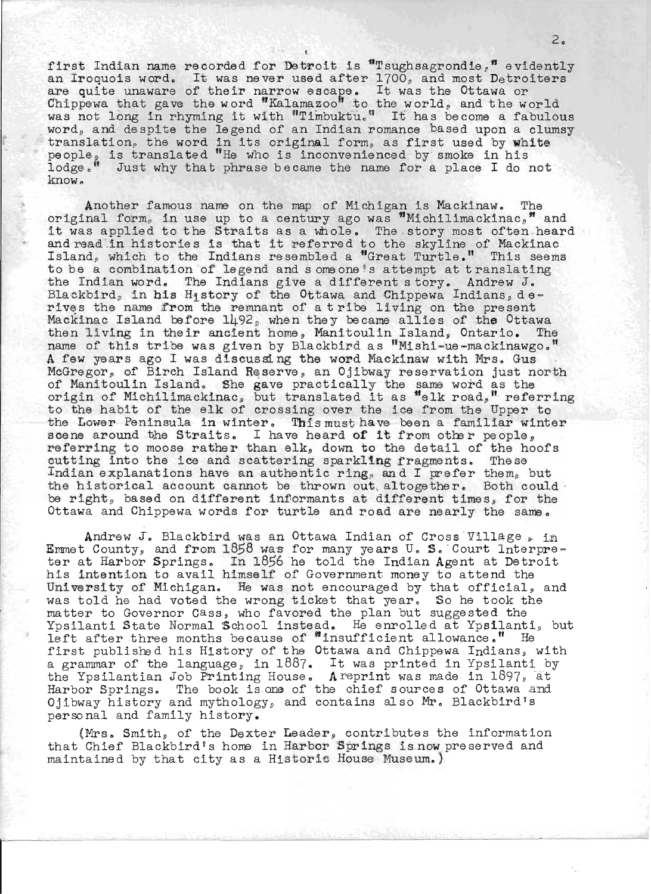first Indian name recorded for Detroit is "Tsughsagrondie," evidently in'st indian name recorded for betroit is isughsagrondle, evidently<br>an Iroquois word. It was never used after 1700, and most Detroiters an iroquois word. It was hever used aller 1700, and most betrol Chippewa that gave the word "Kalamazoo" to the world, and the world was not long in rhyming it with "Timbuktu." It has become a fabulous word, and despite the legend of an Indian romance based upon a clumsy word, and desprise the legend of an indian romance sassa upon a crane translation, the word in its original form, as first used by white people<sub>g</sub> is translated "He who is inconvenienced by smoke in his lodge." Just why that phrase became the name for a place I do not know.

Another famous name on the map of Michigan is Mackinaw. original form, in use up to a century ago was  $M$ ichilimackinac,  $M$  and original form, in use up to a century ago was "Michilimackinac," and<br>it was applied to the Straits as a whole. The story most often heard it was applied to the Straits as a whole. The story most often hear<br>and read in histories is that it referred to the skyline of Mackinac Island, which to the Indians resembled a "Great Turtle." This seems to be a combination of legend and someone's attempt at translating the Indian word. The Indians give a different story. Andrew J. Blackbird, in his History of the Ottawa and Chippewa Indians,  $d e =$ rives the name from the remnant of a tribe living on the present Mackinac Island before  $1492$ , when they became allies of the Ottawa then living in thelr ancient home, Manitoulin Island, Ontario. The name of this tribe was given by Blackbird as "Mishi-ue-mackinawgo." A few years ago I was discussing the word Mackinaw with Mrs. Gus McGregor, of Birch Island Reserve, an Ojibway reservation just north of Manitoulin Island. She gave practically the same word as the or manitoulin island. She gave practically the same word as the control of Michilimackinac, but translated it as "elk road," referring to the habit of the elk of crossing over the ice from the Upper to the Lower Peninsula in winter. This must have been a familiar winter the Lower reninsula in winter. This must have been a familiar wi<br>scene around the Straits. I have heard **of it** from other people, referring to moose rather than elk, down to the detail of the hoofs cutting into the ice and scattering sparkling fragments. These Indian explanations have an authentic ring, and I prefer them, but the historical account cannot be thrown out, altogether. Both could be right, based on different informants at different times, for the Ottawa and Chippewa words for turtle and road are nearly the same.

Andrew  $J$ . Blackbird was an Ottawa Indian of Cross Village , in Emmet County, and from  $1858$  was for many years U. S. Court Interpreter at Harbor Springs. In 1856 he told the Indian Agent at Detroit his intention to avail himself of Government money to attend the University of Michigan. He was not encouraged by that official, and was told he had voted the wrong ticket that year. So he took the matter to Governor Cass, who favored the plan but suggested the Ypsilanti State Normal School instead. He enrolled at Ypsilanti, but left after three months because of "insufficient allowance." He first published his History of the Ottawa and Chippewa Indians, with iffed published his history of the Ottawa and chippewa indians, with<br>a grammar of the language, in 1887. It was printed in Ypsilanti by the Ypsilantian Job Printing House. A reprint was made in 1897, at Harbor Springs. The book is one of the chief sources of Ottawa and Ojibway history and mythology, and contains also Mr. Blackbird's perso nal and family history.

(Mrs. Smith, of the Dexter Leader, contributes the information that Chief Blackbird's home in Harbor Springs is now preserved and maintained by that city as a Historic House Museum.)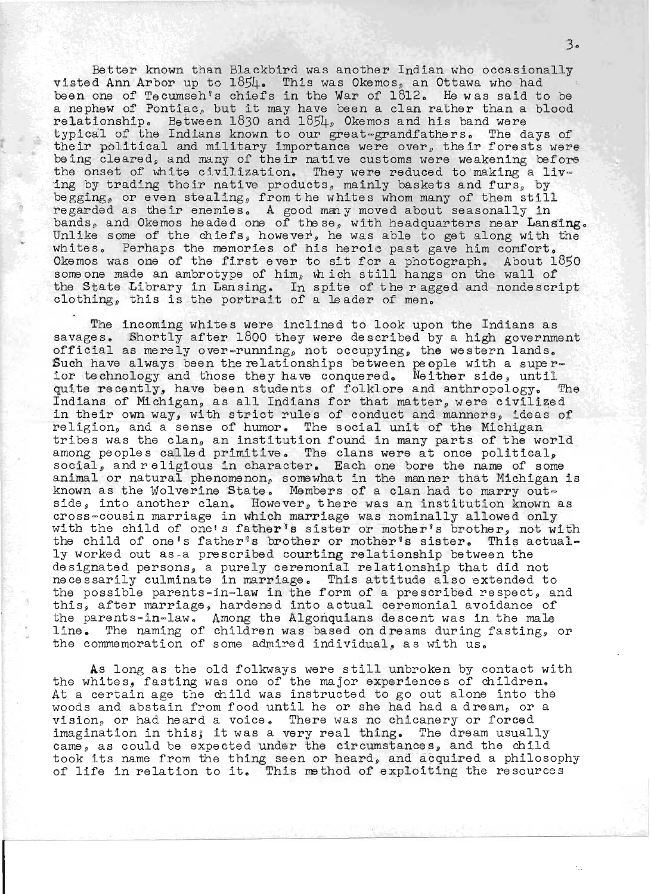Better known than Blackbird was another Indian who occasionally visted Ann Arbor up to  $1.85\text{L}$ . This was Okemos, an Ottawa who had been one of Tecumseh's chiefs in the War of  $1812$ . He was said to be a nephew of Pontiac, but it may have been a clan rather than a blood relationship. Between  $1830$  and  $185\mu$ , Okemos and his band were typical of the Indians known to our great-grandfathers. The days of their political and military importance were over, their forests were being cleared, and many of their native customs were weakening before the onset of white civilization. They were reduced to making a living by trading their native products, mainly baskets and furs, by begging, or even stealing, from the whites whom many of them still regarded as their enemies. A good many moved about seasonally in bands, and Okemos headed one of the se, with headquarters near Lansing.<br>Unlike some of the chiefs, however, he was able to get along with the whites. Perhaps the memories of his heroic past gave him comfort. whites. Fernaps the memories of his heroic past gave him comfort.<br>Dkemos was one of the first ever to sit for a photograph. About 1850 )kemos was one of the first ever to sit for a photograph. About lo<br>someone made an ambrotype of him, which still hangs on the wall of the State Library in Lansing. In spite of the ragged and nondescript clothing, this is the portrait of a leader of men.

The incoming whites were inclined to look upon the Indians as savages. Shortly after 1800 they were described by a high government official as merely over-running, not occupying, the western lands. Such have always been the relationships between people with a super-<br>ior technology and those they have conquered. Neither side, until quite recently, have been students of folklore and anthropology. The Indians of Michigan, as all Indians for that matter, were civilized in their own way, with strict rules of conduct and manners, ideas of religion, and a sense of humor. The social unit of the Michigan tribes was the clan, an institution found in many parts of the world among peoples called primitive. The clans were at once political, inong peoples called primitive. The clans were at once political,<br>social, and religious in character. Each one bore the name of some animal or natural phenomenon, somewhat in the manner that Michigan is known as the Wolverine State. Members of a clan had to marry outside, into another clan. However, there was an institution known as cross~cousin marriage in which marriage was nominally allowed only with the child of one's father's sister or mother's brother, not with the child of one's father's brother or mother's sister. This actually worked out as a prescribed courting relationship between the designated persons, a purely ceremonial relationship that did not necessarily culminate in marriage. This attitude also extended to the possible parents-in-law in the form of a prescribed respect, and this, after marriage, hardened into actual ceremonial avoidance of the parents-in-law. Among the Algonquians descent was in the male line parents-in-iaw. Among the aigonquians descent was in the male<br>line. The naming of children was based on dreams during fasting, or the commemoration of some admired individual, as with us.

As long as the old folkways were still unbroken by contact with the whites, fasting was one of the major experiences of children.<br>At a certain age the child was instructed to go out alone into the woods and abstain from food until he or she had had a dream, or a vision, or had heard a voice. There was no chicanery or forced imagination in this; it was a very real thing. The dream usually came, as could be expected under the circumstances, and the child took its name from the thing seen or heard, and acquired a philosophy of life in relation to it. This method of exploiting the resources

 $3<sub>o</sub>$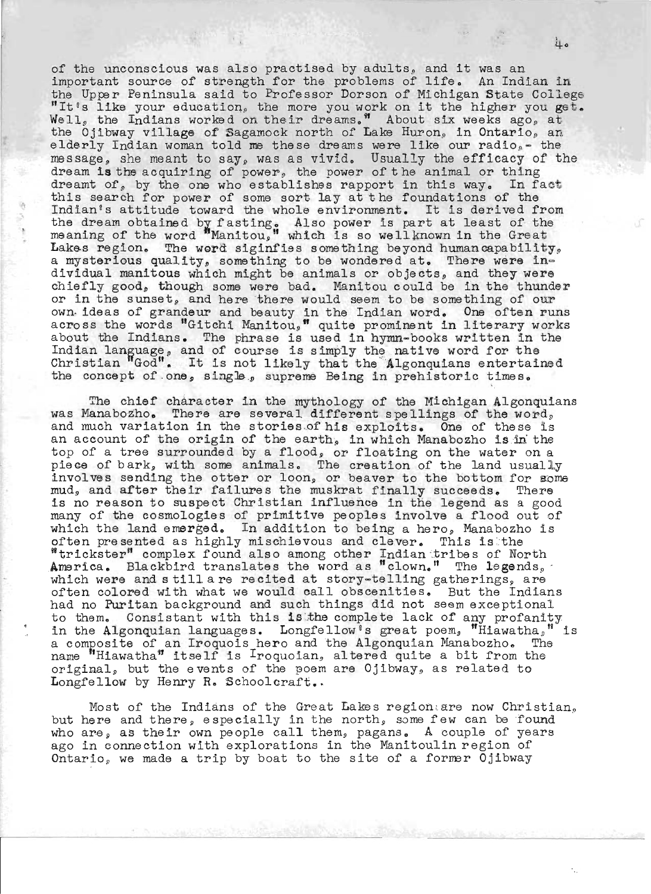of the unconscious was also practised by adults, and it was an important source of strength for the problems of life. An Indian in the Upper Peninsula said to Professor Dorson of Michigan State College "It's like your education, the more you work on it the higher you get. Well, the Indians worked on their dreams." About six weeks ago, at the Ojibway village of Sagamock north of Lake Huron, in Ontario, an elderly Indian woman told me these dreams were like our radio  $_e$  - the message, she meant to say, was as vivid. Usually the efficacy of the dream is the acquiring of power, the power of the animal or thing dreamt of, by the one who establishes rapport in this way. In fact this search for power of some sort lay at the foundations of the Indian's attitude toward the whole environment. It is derived from the dream obtained by fasting. Also power is part at least of the meaning of the word "Manitou," which is so wellknown in the Great Lakes region. The word siginfies something beyond humancapability, a mysterious quality, something to be wondered at. There were individual manitous which might be animals or objects, and they were chiefly good, though some were bad. Manitou could be in the thunder or in the sunset, and here there would seem to be something of our own· ideas of grandeur and beauty in the Indian word. One often runs across the words "Gitchi Manitou," quite prominent in literary works about the Indians. The phrase is used in hymn-books written in the Indian language, and of course is used in hymn-books written in Christian God". It is not likely that the " Algonquians entertaine <sup>d</sup> the concept of one, single, supreme Being in prehistoric times.

The chief character in the mythology of the Michigan Algonquians was Manabozho. There are several different spellings of the word, and much variation in the stories of his exploits. One of these is an account of the origin of the earth, in which Manabozho is in the top of a tree surrounded by a flood, or floating on the water on a piece of bark, with some animals. The creation of the land usually involves sending the otter or loon, or beaver to the bottom for some mud, and after their failures the muskrat finally succeeds. There is no reason to suspect Christian influence in the legend as a good many of the cosmologies of primitive peoples involve a flood out of which the land emerged. In addition to being a hero, Manabozho is often presented as highly mischievous and clever. This is the often presented as highly mischievous and clever. often presented as highly mischlevous and clever. This is the strickster" complex found also among other Indian tribes of North America. Blackbird translates the word as "clown." The legends, America. Blackbird translates the word as "clown." The legends,<br>which were and still are recited at story-telling gatherings, are often colored with what we would call obscenities. But the Indians had no Puritan background and such things did not seem exceptional to them. Consistant with this is the complete lack of any profanity in the Algonquian languages. Longfellow's great poem, "Hiawatha," is a composite of an Iroquois hero and the Algonquian Manabozho. The a composite of an iroquois nero and the aigonquian ranabozho. The mame "Hiawatha" itself is Iroquoian, altered quite a bit from the original, but the events of the poem are Ojibway, as related to Longfellow by Henry R. Schoolcraft..

Most of the Indians of the Great Lakes region are now Christian, but here and there, especially in the north, some few can be found who are, as their own people call them, pagans. A couple of years and aloy as their can people call them, pagaint a complete or joint Ontario, we made a trip by boat to the site of a former Ojibway

4.